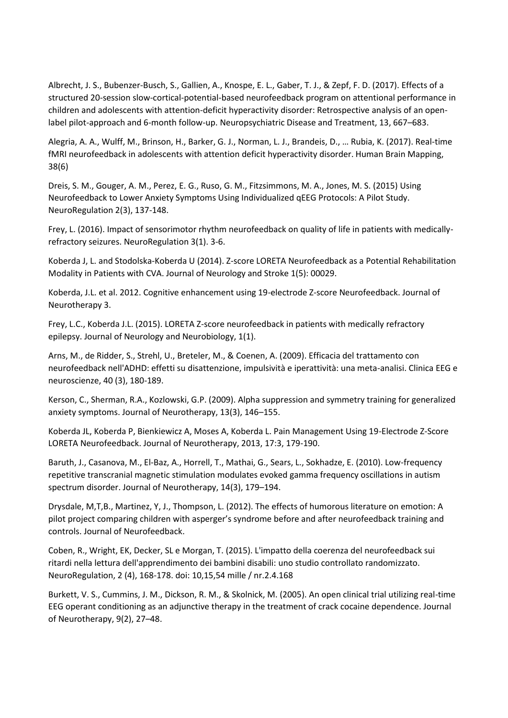Albrecht, J. S., Bubenzer-Busch, S., Gallien, A., Knospe, E. L., Gaber, T. J., & Zepf, F. D. (2017). Effects of a structured 20-session slow-cortical-potential-based neurofeedback program on attentional performance in children and adolescents with attention-deficit hyperactivity disorder: Retrospective analysis of an openlabel pilot-approach and 6-month follow-up. Neuropsychiatric Disease and Treatment, 13, 667–683.

Alegria, A. A., Wulff, M., Brinson, H., Barker, G. J., Norman, L. J., Brandeis, D., … Rubia, K. (2017). Real-time fMRI neurofeedback in adolescents with attention deficit hyperactivity disorder. Human Brain Mapping, 38(6)

Dreis, S. M., Gouger, A. M., Perez, E. G., Ruso, G. M., Fitzsimmons, M. A., Jones, M. S. (2015) Using Neurofeedback to Lower Anxiety Symptoms Using Individualized qEEG Protocols: A Pilot Study. NeuroRegulation 2(3), 137-148.

Frey, L. (2016). Impact of sensorimotor rhythm neurofeedback on quality of life in patients with medicallyrefractory seizures. NeuroRegulation 3(1). 3-6.

Koberda J, L. and Stodolska-Koberda U (2014). Z-score LORETA Neurofeedback as a Potential Rehabilitation Modality in Patients with CVA. Journal of Neurology and Stroke 1(5): 00029.

Koberda, J.L. et al. 2012. Cognitive enhancement using 19-electrode Z-score Neurofeedback. Journal of Neurotherapy 3.

Frey, L.C., Koberda J.L. (2015). LORETA Z-score neurofeedback in patients with medically refractory epilepsy. Journal of Neurology and Neurobiology, 1(1).

Arns, M., de Ridder, S., Strehl, U., Breteler, M., & Coenen, A. (2009). Efficacia del trattamento con neurofeedback nell'ADHD: effetti su disattenzione, impulsività e iperattività: una meta-analisi. Clinica EEG e neuroscienze, 40 (3), 180-189.

Kerson, C., Sherman, R.A., Kozlowski, G.P. (2009). Alpha suppression and symmetry training for generalized anxiety symptoms. Journal of Neurotherapy, 13(3), 146–155.

Koberda JL, Koberda P, Bienkiewicz A, Moses A, Koberda L. Pain Management Using 19-Electrode Z-Score LORETA Neurofeedback. Journal of Neurotherapy, 2013, 17:3, 179-190.

Baruth, J., Casanova, M., El-Baz, A., Horrell, T., Mathai, G., Sears, L., Sokhadze, E. (2010). Low-frequency repetitive transcranial magnetic stimulation modulates evoked gamma frequency oscillations in autism spectrum disorder. Journal of Neurotherapy, 14(3), 179–194.

Drysdale, M,T,B., Martinez, Y, J., Thompson, L. (2012). The effects of humorous literature on emotion: A pilot project comparing children with asperger's syndrome before and after neurofeedback training and controls. Journal of Neurofeedback.

Coben, R., Wright, EK, Decker, SL e Morgan, T. (2015). L'impatto della coerenza del neurofeedback sui ritardi nella lettura dell'apprendimento dei bambini disabili: uno studio controllato randomizzato. NeuroRegulation, 2 (4), 168-178. doi: 10,15,54 mille / nr.2.4.168

Burkett, V. S., Cummins, J. M., Dickson, R. M., & Skolnick, M. (2005). An open clinical trial utilizing real-time EEG operant conditioning as an adjunctive therapy in the treatment of crack cocaine dependence. Journal of Neurotherapy, 9(2), 27–48.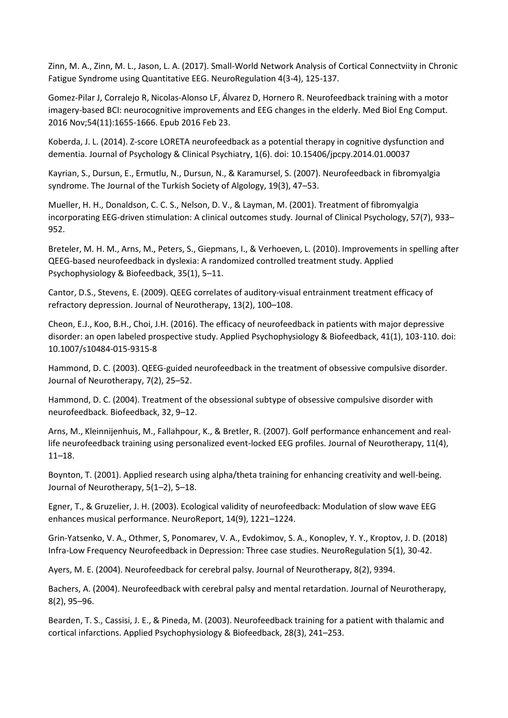Zinn, M. A., Zinn, M. L., Jason, L. A. (2017). Small-World Network Analysis of Cortical Connectviity in Chronic Fatigue Syndrome using Quantitative EEG. NeuroRegulation 4(3-4), 125-137.

Gomez-Pilar J, Corralejo R, Nicolas-Alonso LF, Álvarez D, Hornero R. Neurofeedback training with a motor imagery-based BCI: neurocognitive improvements and EEG changes in the elderly. Med Biol Eng Comput. 2016 Nov;54(11):1655-1666. Epub 2016 Feb 23.

Koberda, J. L. (2014). Z-score LORETA neurofeedback as a potential therapy in cognitive dysfunction and dementia. Journal of Psychology & Clinical Psychiatry, 1(6). doi: 10.15406/jpcpy.2014.01.00037

Kayrian, S., Dursun, E., Ermutlu, N., Dursun, N., & Karamursel, S. (2007). Neurofeedback in fibromyalgia syndrome. The Journal of the Turkish Society of Algology, 19(3), 47–53.

Mueller, H. H., Donaldson, C. C. S., Nelson, D. V., & Layman, M. (2001). Treatment of fibromyalgia incorporating EEG-driven stimulation: A clinical outcomes study. Journal of Clinical Psychology, 57(7), 933– 952.

Breteler, M. H. M., Arns, M., Peters, S., Giepmans, I., & Verhoeven, L. (2010). Improvements in spelling after QEEG-based neurofeedback in dyslexia: A randomized controlled treatment study. Applied Psychophysiology & Biofeedback, 35(1), 5–11.

Cantor, D.S., Stevens, E. (2009). QEEG correlates of auditory-visual entrainment treatment efficacy of refractory depression. Journal of Neurotherapy, 13(2), 100–108.

Cheon, E.J., Koo, B.H., Choi, J.H. (2016). The efficacy of neurofeedback in patients with major depressive disorder: an open labeled prospective study. Applied Psychophysiology & Biofeedback, 41(1), 103-110. doi: 10.1007/s10484-015-9315-8

Hammond, D. C. (2003). QEEG-guided neurofeedback in the treatment of obsessive compulsive disorder. Journal of Neurotherapy, 7(2), 25–52.

Hammond, D. C. (2004). Treatment of the obsessional subtype of obsessive compulsive disorder with neurofeedback. Biofeedback, 32, 9–12.

Arns, M., Kleinnijenhuis, M., Fallahpour, K., & Bretler, R. (2007). Golf performance enhancement and reallife neurofeedback training using personalized event-locked EEG profiles. Journal of Neurotherapy, 11(4), 11–18.

Boynton, T. (2001). Applied research using alpha/theta training for enhancing creativity and well-being. Journal of Neurotherapy, 5(1–2), 5–18.

Egner, T., & Gruzelier, J. H. (2003). Ecological validity of neurofeedback: Modulation of slow wave EEG enhances musical performance. NeuroReport, 14(9), 1221–1224.

Grin-Yatsenko, V. A., Othmer, S, Ponomarev, V. A., Evdokimov, S. A., Konoplev, Y. Y., Kroptov, J. D. (2018) Infra-Low Frequency Neurofeedback in Depression: Three case studies. NeuroRegulation 5(1), 30-42.

Ayers, M. E. (2004). Neurofeedback for cerebral palsy. Journal of Neurotherapy, 8(2), 9394.

Bachers, A. (2004). Neurofeedback with cerebral palsy and mental retardation. Journal of Neurotherapy, 8(2), 95–96.

Bearden, T. S., Cassisi, J. E., & Pineda, M. (2003). Neurofeedback training for a patient with thalamic and cortical infarctions. Applied Psychophysiology & Biofeedback, 28(3), 241–253.